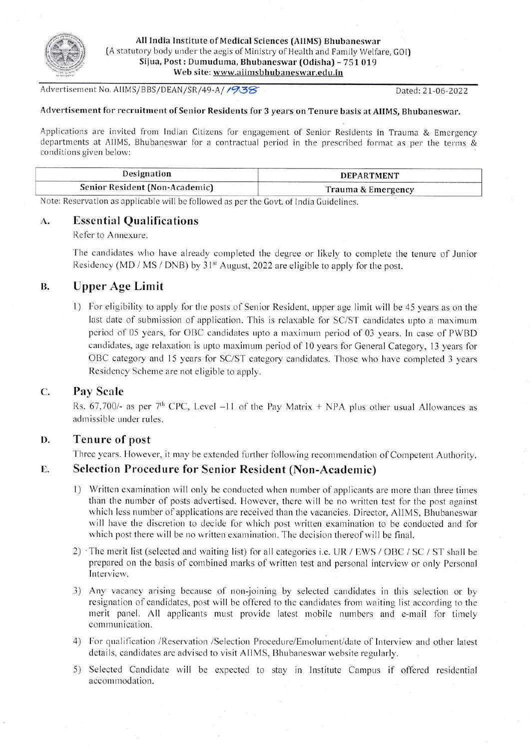

All India Institute of Medical Sciences (AIIMS) Bhubaneswar (A statutory body under the aegis of Ministry of Health and Family Welfare, GOI) Sijua, Post: Dumuduma, Bhubaneswar (Odisha) - 751 019 Web site: www.aiimsbhubaneswar.edu.in

Advertisement No. AIIMS/BBS/DEAN/SR/49-A/1938

Dated: 21-06-2022

# Advertisement for recruitment of Senior Residents for 3 years on Tenure basis at AIIMS, Bhubaneswar.

Applications are invited from Indian Citizens for engagement of Senior Residents in Trauma & Emergency departments at AIIMS, Bhubaneswar for a contractual period in the prescribed format as per the terms & conditions given below:

| Designation                    | <b>DEPARTMENT</b>  |  |
|--------------------------------|--------------------|--|
| Senior Resident (Non-Academic) | Trauma & Emergency |  |

Note: Reservation as applicable will be followed as per the Govt, of India Guidelines.

#### $\mathbf{A}$ . **Essential Qualifications**

# Refer to Annexure.

The candidates who have already completed the degree or likely to complete the tenure of Junior Residency (MD / MS / DNB) by 31<sup>st</sup> August, 2022 are eligible to apply for the post.

### **Upper Age Limit B.**

1) For eligibility to apply for the posts of Senior Resident, upper age limit will be 45 years as on the last date of submission of application. This is relaxable for SC/ST candidates upto a maximum period of 05 years, for OBC candidates upto a maximum period of 03 years. In case of PWBD candidates, age relaxation is upto maximum period of 10 years for General Category, 13 years for OBC category and 15 years for SC/ST category candidates. Those who have completed 3 years Residency Scheme are not eligible to apply.

### C. **Pay Scale**

Rs. 67,700/- as per 7<sup>th</sup> CPC, Level -11 of the Pay Matrix + NPA plus other usual Allowances as admissible under rules.

#### D. **Tenure of post**

Three years. However, it may be extended further following recommendation of Competent Authority.

### **Selection Procedure for Senior Resident (Non-Academic)** E.

- 1) Written examination will only be conducted when number of applicants are more than three times than the number of posts advertised. However, there will be no written test for the post against which less number of applications are received than the vacancies. Director, AIIMS, Bhubaneswar will have the discretion to decide for which post written examination to be conducted and for which post there will be no written examination. The decision thereof will be final.
- 2) The merit list (selected and waiting list) for all categories i.e. UR / EWS / OBC / SC / ST shall be prepared on the basis of combined marks of written test and personal interview or only Personal Interview.
- 3) Any vacancy arising because of non-joining by selected candidates in this selection or by resignation of candidates, post will be offered to the candidates from waiting list according to the merit panel. All applicants must provide latest mobile numbers and e-mail for timely communication.
- 4) For qualification /Reservation /Selection Procedure/Emolument/date of Interview and other latest details, candidates are advised to visit AIIMS, Bhubaneswar website regularly.
- 5) Selected Candidate will be expected to stay in Institute Campus if offered residential accommodation.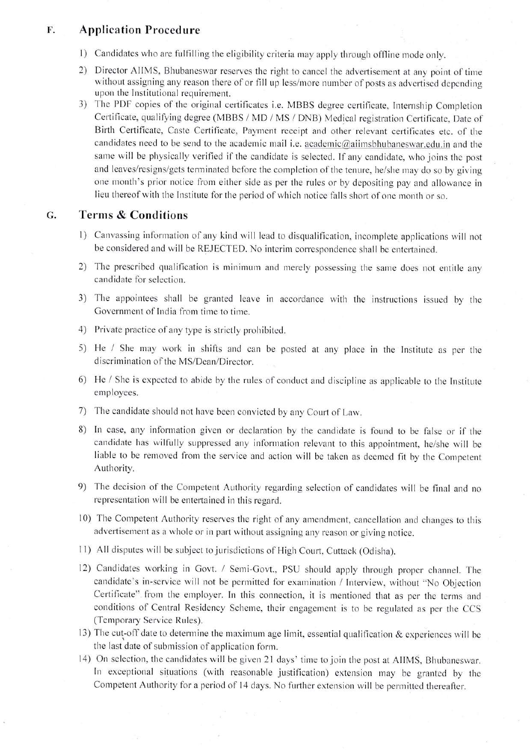### **Application Procedure** F.

- 1) Candidates who are fulfilling the eligibility criteria may apply through offline mode only.
- 2) Director AIIMS, Bhubaneswar reserves the right to cancel the advertisement at any point of time without assigning any reason there of or fill up less/more number of posts as advertised depending upon the Institutional requirement.
- 3) The PDF copies of the original certificates i.e. MBBS degree certificate, Internship Completion Certificate, qualifying degree (MBBS / MD / MS / DNB) Medical registration Certificate, Date of Birth Certificate, Caste Certificate, Payment receipt and other relevant certificates etc. of the candidates need to be send to the academic mail i.e. academic@aiimsbhubaneswar.edu.in and the same will be physically verified if the candidate is selected. If any candidate, who joins the post and leaves/resigns/gets terminated before the completion of the tenure, he/she may do so by giving one month's prior notice from either side as per the rules or by depositing pay and allowance in lieu thereof with the Institute for the period of which notice falls short of one month or so.

### G. **Terms & Conditions**

- 1) Canvassing information of any kind will lead to disqualification, incomplete applications will not be considered and will be REJECTED. No interim correspondence shall be entertained.
- 2) The prescribed qualification is minimum and merely possessing the same does not entitle any candidate for selection.
- 3) The appointees shall be granted leave in accordance with the instructions issued by the Government of India from time to time.
- 4) Private practice of any type is strictly prohibited.
- 5) He / She may work in shifts and can be posted at any place in the Institute as per the discrimination of the MS/Dean/Director.
- 6) He / She is expected to abide by the rules of conduct and discipline as applicable to the Institute employees.
- 7) The candidate should not have been convicted by any Court of Law.
- 8) In case, any information given or declaration by the candidate is found to be false or if the candidate has wilfully suppressed any information relevant to this appointment, he/she will be liable to be removed from the service and action will be taken as deemed fit by the Competent Authority.
- 9) The decision of the Competent Authority regarding selection of candidates will be final and no representation will be entertained in this regard.
- 10) The Competent Authority reserves the right of any amendment, cancellation and changes to this advertisement as a whole or in part without assigning any reason or giving notice.
- 11) All disputes will be subject to jurisdictions of High Court, Cuttack (Odisha).
- 12) Candidates working in Govt. / Semi-Govt., PSU should apply through proper channel. The candidate's in-service will not be permitted for examination / Interview, without "No Objection Certificate" from the employer. In this connection, it is mentioned that as per the terms and conditions of Central Residency Scheme, their engagement is to be regulated as per the CCS (Temporary Service Rules).
- 13) The cut-off date to determine the maximum age limit, essential qualification & experiences will be the last date of submission of application form.
- 14) On selection, the candidates will be given 21 days' time to join the post at AIIMS, Bhubaneswar. In exceptional situations (with reasonable justification) extension may be granted by the Competent Authority for a period of 14 days. No further extension will be permitted thereafter.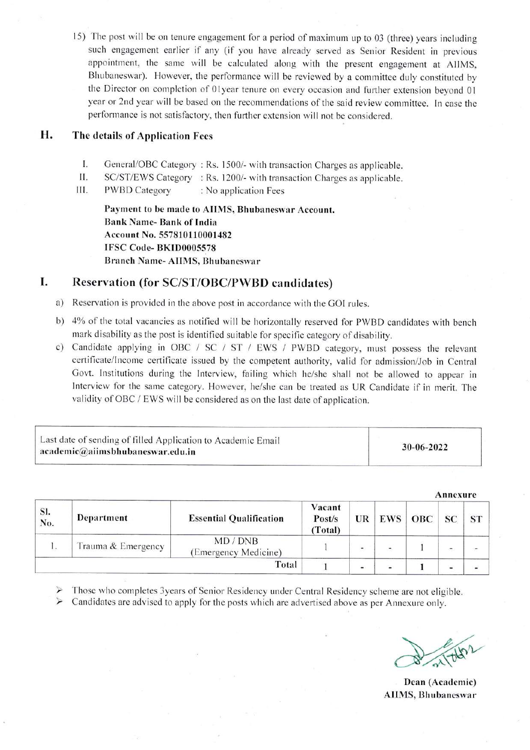15) The post will be on tenure engagement for a period of maximum up to 03 (three) years including such engagement earlier if any (if you have already served as Senior Resident in previous appointment, the same will be calculated along with the present engagement at AIIMS, Bhubaneswar). However, the performance will be reviewed by a committee duly constituted by the Director on completion of 01year tenure on every occasion and further extension beyond 01 year or 2nd year will be based on the recommendations of the said review committee. In case the performance is not satisfactory, then further extension will not be considered.

## Н. The details of Application Fees

- I. General/OBC Category: Rs. 1500/- with transaction Charges as applicable.
- П. SC/ST/EWS Category : Rs. 1200/- with transaction Charges as applicable.
- III. **PWBD Category** : No application Fees

Payment to be made to AIIMS, Bhubaneswar Account. **Bank Name-Bank of India** Account No. 557810110001482 IFSC Code-BKID0005578 **Branch Name-AIIMS, Bhubaneswar** 

### I. Reservation (for SC/ST/OBC/PWBD candidates)

- a) Reservation is provided in the above post in accordance with the GOI rules.
- b) 4% of the total vacancies as notified will be horizontally reserved for PWBD candidates with bench mark disability as the post is identified suitable for specific category of disability.
- c) Candidate applying in OBC / SC / ST / EWS / PWBD category, must possess the relevant certificate/Income certificate issued by the competent authority, valid for admission/Job in Central Govt. Institutions during the Interview, failing which he/she shall not be allowed to appear in Interview for the same category. However, he/she can be treated as UR Candidate if in merit. The validity of OBC / EWS will be considered as on the last date of application.

| Last date of sending of filled Application to Academic Email<br>$a$ academic $@$ aiimsbhubaneswar.edu.in | 30-06-2022 |
|----------------------------------------------------------------------------------------------------------|------------|
|----------------------------------------------------------------------------------------------------------|------------|

Annexure Vacant SI. Department **Essential Qualification OBC** Post/s UR **EWS** SC **ST** No. (Total) MD / DNB 1. Trauma & Emergency  $\mathbf{I}$  $\overline{1}$  $\overline{a}$ (Emergency Medicine) **Total**  $\mathbf{1}$  $\mathbf{1}$ œ. ۱.  $\omega$  $\blacksquare$ 

Those who completes 3years of Senior Residency under Central Residency scheme are not eligible.

Candidates are advised to apply for the posts which are advertised above as per Annexure only.  $\blacktriangleright$ 

Dean (Academic) **AIIMS**, Bhubaneswar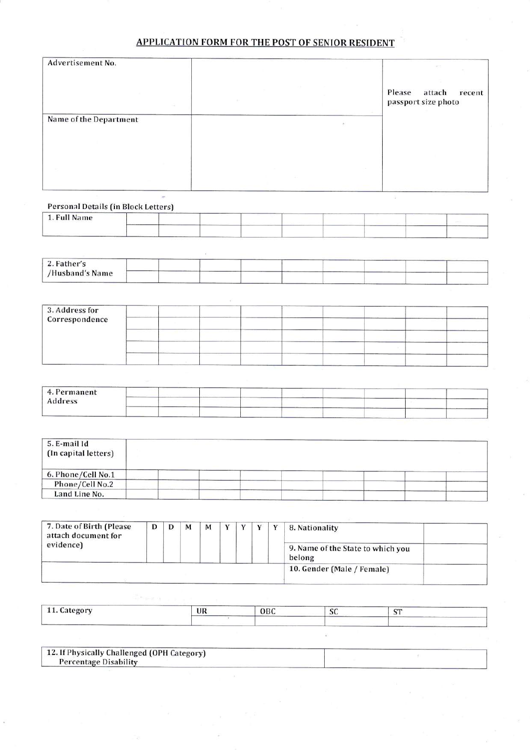# APPLICATION FORM FOR THE POST OF SENIOR RESIDENT

| Advertisement No.      |  | $\mathcal{C}^{\text{L}}$<br>Please<br>attach<br>recent |
|------------------------|--|--------------------------------------------------------|
|                        |  | passport size photo                                    |
| Name of the Department |  |                                                        |
|                        |  |                                                        |
|                        |  |                                                        |
|                        |  |                                                        |

Personal Details (in Block Letters)

| 1. Full Name |        |  |  |  |  |
|--------------|--------|--|--|--|--|
|              | ______ |  |  |  |  |

| 2. Father's     |  |  |  |  |  |
|-----------------|--|--|--|--|--|
| /Husband's Name |  |  |  |  |  |

| 3. Address for<br>Correspondence |  |  |  |  |  |
|----------------------------------|--|--|--|--|--|
|                                  |  |  |  |  |  |
|                                  |  |  |  |  |  |
|                                  |  |  |  |  |  |
|                                  |  |  |  |  |  |

| 4. Permanent |  |  |  |  |  |
|--------------|--|--|--|--|--|
| Address      |  |  |  |  |  |
|              |  |  |  |  |  |

| 5. E-mail Id<br>(In capital letters) |  |  |  |  |
|--------------------------------------|--|--|--|--|
| 6. Phone/Cell No.1                   |  |  |  |  |
| Phone/Cell No.2                      |  |  |  |  |
| Land Line No.                        |  |  |  |  |

| 7. Date of Birth (Please<br>attach document for<br>evidence) | D | M | м |  | $\mathbf{v}$ | 8. Nationality<br>9. Name of the State to which you<br>belong |  |
|--------------------------------------------------------------|---|---|---|--|--------------|---------------------------------------------------------------|--|
|                                                              |   |   |   |  |              | 10. Gender (Male / Female)                                    |  |

| $\mathcal{L}$<br>$\overline{ }$<br><b>11. Category</b><br>$\cdot$<br>355 M | UR | OBC | <b>COMPANY</b><br><b>JU</b> | <b>COLOR</b> |
|----------------------------------------------------------------------------|----|-----|-----------------------------|--------------|
|                                                                            |    |     |                             |              |

| 12. If Physically Challenged (OPH Category) |  |
|---------------------------------------------|--|
| Percentage Disability                       |  |